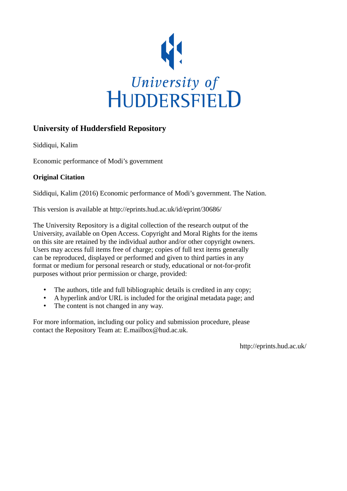

## **University of Huddersfield Repository**

Siddiqui, Kalim

Economic performance of Modi's government

## **Original Citation**

Siddiqui, Kalim (2016) Economic performance of Modi's government. The Nation.

This version is available at http://eprints.hud.ac.uk/id/eprint/30686/

The University Repository is a digital collection of the research output of the University, available on Open Access. Copyright and Moral Rights for the items on this site are retained by the individual author and/or other copyright owners. Users may access full items free of charge; copies of full text items generally can be reproduced, displayed or performed and given to third parties in any format or medium for personal research or study, educational or not-for-profit purposes without prior permission or charge, provided:

- The authors, title and full bibliographic details is credited in any copy;
- A hyperlink and/or URL is included for the original metadata page; and
- The content is not changed in any way.

For more information, including our policy and submission procedure, please contact the Repository Team at: E.mailbox@hud.ac.uk.

http://eprints.hud.ac.uk/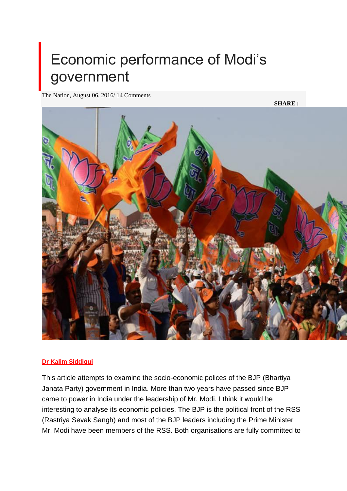## Economic performance of Modi's government

The Nation, August 06, 2016/ 14 Comments

**SHARE :**



## **[Dr Kalim Siddiqui](http://nation.com.pk/Columnist/dr-kalim-siddiqui)**

This article attempts to examine the socio-economic polices of the BJP (Bhartiya Janata Party) government in India. More than two years have passed since BJP came to power in India under the leadership of Mr. Modi. I think it would be interesting to analyse its economic policies. The BJP is the political front of the RSS (Rastriya Sevak Sangh) and most of the BJP leaders including the Prime Minister Mr. Modi have been members of the RSS. Both organisations are fully committed to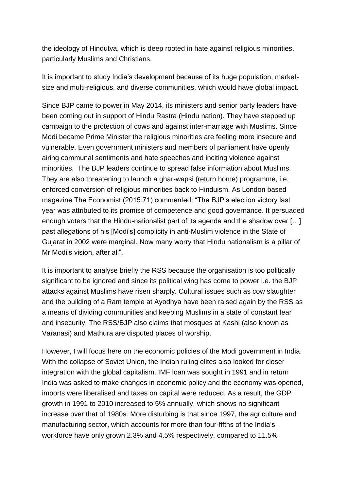the ideology of Hindutva, which is deep rooted in hate against religious minorities, particularly Muslims and Christians.

It is important to study India's development because of its huge population, marketsize and multi-religious, and diverse communities, which would have global impact.

Since BJP came to power in May 2014, its ministers and senior party leaders have been coming out in support of Hindu Rastra (Hindu nation). They have stepped up campaign to the protection of cows and against inter-marriage with Muslims. Since Modi became Prime Minister the religious minorities are feeling more insecure and vulnerable. Even government ministers and members of parliament have openly airing communal sentiments and hate speeches and inciting violence against minorities. The BJP leaders continue to spread false information about Muslims. They are also threatening to launch a ghar-wapsi (return home) programme, i.e. enforced conversion of religious minorities back to Hinduism. As London based magazine The Economist (2015:71) commented: "The BJP's election victory last year was attributed to its promise of competence and good governance. It persuaded enough voters that the Hindu-nationalist part of its agenda and the shadow over […] past allegations of his [Modi's] complicity in anti-Muslim violence in the State of Gujarat in 2002 were marginal. Now many worry that Hindu nationalism is a pillar of Mr Modi's vision, after all".

It is important to analyse briefly the RSS because the organisation is too politically significant to be ignored and since its political wing has come to power i.e. the BJP attacks against Muslims have risen sharply. Cultural issues such as cow slaughter and the building of a Ram temple at Ayodhya have been raised again by the RSS as a means of dividing communities and keeping Muslims in a state of constant fear and insecurity. The RSS/BJP also claims that mosques at Kashi (also known as Varanasi) and Mathura are disputed places of worship.

However, I will focus here on the economic policies of the Modi government in India. With the collapse of Soviet Union, the Indian ruling elites also looked for closer integration with the global capitalism. IMF loan was sought in 1991 and in return India was asked to make changes in economic policy and the economy was opened, imports were liberalised and taxes on capital were reduced. As a result, the GDP growth in 1991 to 2010 increased to 5% annually, which shows no significant increase over that of 1980s. More disturbing is that since 1997, the agriculture and manufacturing sector, which accounts for more than four-fifths of the India's workforce have only grown 2.3% and 4.5% respectively, compared to 11.5%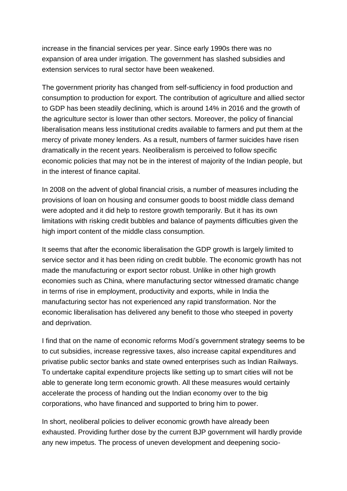increase in the financial services per year. Since early 1990s there was no expansion of area under irrigation. The government has slashed subsidies and extension services to rural sector have been weakened.

The government priority has changed from self-sufficiency in food production and consumption to production for export. The contribution of agriculture and allied sector to GDP has been steadily declining, which is around 14% in 2016 and the growth of the agriculture sector is lower than other sectors. Moreover, the policy of financial liberalisation means less institutional credits available to farmers and put them at the mercy of private money lenders. As a result, numbers of farmer suicides have risen dramatically in the recent years. Neoliberalism is perceived to follow specific economic policies that may not be in the interest of majority of the Indian people, but in the interest of finance capital.

In 2008 on the advent of global financial crisis, a number of measures including the provisions of loan on housing and consumer goods to boost middle class demand were adopted and it did help to restore growth temporarily. But it has its own limitations with risking credit bubbles and balance of payments difficulties given the high import content of the middle class consumption.

It seems that after the economic liberalisation the GDP growth is largely limited to service sector and it has been riding on credit bubble. The economic growth has not made the manufacturing or export sector robust. Unlike in other high growth economies such as China, where manufacturing sector witnessed dramatic change in terms of rise in employment, productivity and exports, while in India the manufacturing sector has not experienced any rapid transformation. Nor the economic liberalisation has delivered any benefit to those who steeped in poverty and deprivation.

I find that on the name of economic reforms Modi's government strategy seems to be to cut subsidies, increase regressive taxes, also increase capital expenditures and privatise public sector banks and state owned enterprises such as Indian Railways. To undertake capital expenditure projects like setting up to smart cities will not be able to generate long term economic growth. All these measures would certainly accelerate the process of handing out the Indian economy over to the big corporations, who have financed and supported to bring him to power.

In short, neoliberal policies to deliver economic growth have already been exhausted. Providing further dose by the current BJP government will hardly provide any new impetus. The process of uneven development and deepening socio